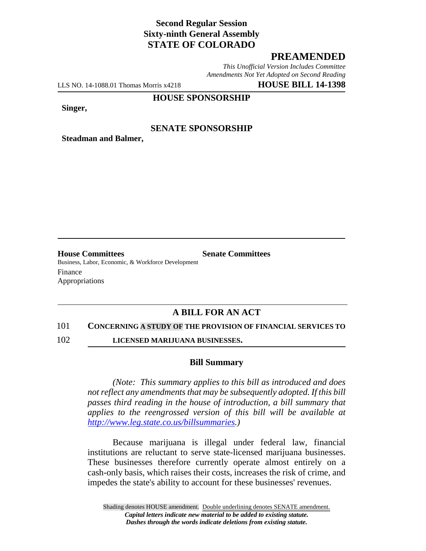# **Second Regular Session Sixty-ninth General Assembly STATE OF COLORADO**

### **PREAMENDED**

*This Unofficial Version Includes Committee Amendments Not Yet Adopted on Second Reading*

LLS NO. 14-1088.01 Thomas Morris x4218 **HOUSE BILL 14-1398**

#### **HOUSE SPONSORSHIP**

**Singer,**

### **SENATE SPONSORSHIP**

**Steadman and Balmer,**

**House Committees Senate Committees** Business, Labor, Economic, & Workforce Development Finance Appropriations

# **A BILL FOR AN ACT**

#### 101 **CONCERNING A STUDY OF THE PROVISION OF FINANCIAL SERVICES TO**

102 **LICENSED MARIJUANA BUSINESSES.**

#### **Bill Summary**

*(Note: This summary applies to this bill as introduced and does not reflect any amendments that may be subsequently adopted. If this bill passes third reading in the house of introduction, a bill summary that applies to the reengrossed version of this bill will be available at http://www.leg.state.co.us/billsummaries.)*

Because marijuana is illegal under federal law, financial institutions are reluctant to serve state-licensed marijuana businesses. These businesses therefore currently operate almost entirely on a cash-only basis, which raises their costs, increases the risk of crime, and impedes the state's ability to account for these businesses' revenues.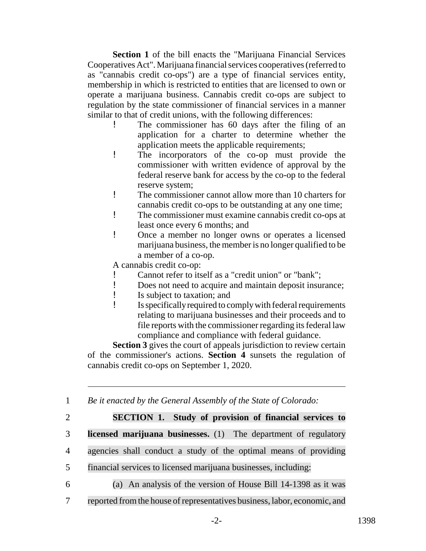**Section 1** of the bill enacts the "Marijuana Financial Services Cooperatives Act". Marijuana financial services cooperatives (referred to as "cannabis credit co-ops") are a type of financial services entity, membership in which is restricted to entities that are licensed to own or operate a marijuana business. Cannabis credit co-ops are subject to regulation by the state commissioner of financial services in a manner similar to that of credit unions, with the following differences:

- The commissioner has 60 days after the filing of an application for a charter to determine whether the application meets the applicable requirements;
- ! The incorporators of the co-op must provide the commissioner with written evidence of approval by the federal reserve bank for access by the co-op to the federal reserve system;
- ! The commissioner cannot allow more than 10 charters for cannabis credit co-ops to be outstanding at any one time;
- ! The commissioner must examine cannabis credit co-ops at least once every 6 months; and
- ! Once a member no longer owns or operates a licensed marijuana business, the member is no longer qualified to be a member of a co-op.

A cannabis credit co-op:

- ! Cannot refer to itself as a "credit union" or "bank";
- ! Does not need to acquire and maintain deposit insurance;
- ! Is subject to taxation; and
- ! Is specifically required to comply with federal requirements relating to marijuana businesses and their proceeds and to file reports with the commissioner regarding its federal law compliance and compliance with federal guidance.

**Section 3** gives the court of appeals jurisdiction to review certain of the commissioner's actions. **Section 4** sunsets the regulation of cannabis credit co-ops on September 1, 2020.

1 *Be it enacted by the General Assembly of the State of Colorado:*

# 2 **SECTION 1. Study of provision of financial services to**

3 **licensed marijuana businesses.** (1) The department of regulatory

- 4 agencies shall conduct a study of the optimal means of providing
- 5 financial services to licensed marijuana businesses, including:
- 

6 (a) An analysis of the version of House Bill 14-1398 as it was

7 reported fromthe house of representatives business, labor, economic, and